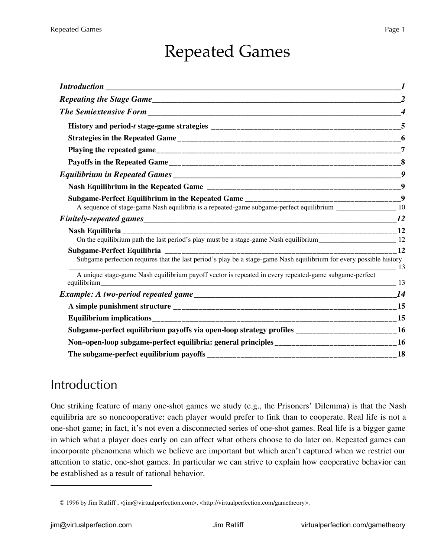|                                                                                                                                                                                                                                                                                                                                               | $\boldsymbol{4}$ |
|-----------------------------------------------------------------------------------------------------------------------------------------------------------------------------------------------------------------------------------------------------------------------------------------------------------------------------------------------|------------------|
|                                                                                                                                                                                                                                                                                                                                               |                  |
|                                                                                                                                                                                                                                                                                                                                               |                  |
|                                                                                                                                                                                                                                                                                                                                               | $\overline{7}$   |
|                                                                                                                                                                                                                                                                                                                                               |                  |
|                                                                                                                                                                                                                                                                                                                                               |                  |
|                                                                                                                                                                                                                                                                                                                                               |                  |
| A sequence of stage-game Nash equilibria is a repeated-game subgame-perfect equilibrium __________________ 10                                                                                                                                                                                                                                 |                  |
|                                                                                                                                                                                                                                                                                                                                               |                  |
| Nash Equilibria ______                                                                                                                                                                                                                                                                                                                        |                  |
| On the equilibrium path the last period's play must be a stage-game Nash equilibrium _________________________12                                                                                                                                                                                                                              | 12               |
| Subgame perfection requires that the last period's play be a stage-game Nash equilibrium for every possible history<br>$\sim$ 13                                                                                                                                                                                                              |                  |
| A unique stage-game Nash equilibrium payoff vector is repeated in every repeated-game subgame-perfect<br>equilibrium expansion of the contract of the contract of the contract of the contract of the contract of the contract of the contract of the contract of the contract of the contract of the contract of the contract of the c<br>13 |                  |
|                                                                                                                                                                                                                                                                                                                                               |                  |
|                                                                                                                                                                                                                                                                                                                                               |                  |
|                                                                                                                                                                                                                                                                                                                                               |                  |
| Subgame-perfect equilibrium payoffs via open-loop strategy profiles _________________________16                                                                                                                                                                                                                                               |                  |
| Non-open-loop subgame-perfect equilibria: general principles _______________________________16                                                                                                                                                                                                                                                |                  |
|                                                                                                                                                                                                                                                                                                                                               | <b>18</b>        |

## Introduction

One striking feature of many one-shot games we study (e.g., the Prisoners' Dilemma) is that the Nash equilibria are so noncooperative: each player would prefer to fink than to cooperate. Real life is not a one-shot game; in fact, it's not even a disconnected series of one-shot games. Real life is a bigger game in which what a player does early on can affect what others choose to do later on. Repeated games can incorporate phenomena which we believe are important but which aren't captured when we restrict our attention to static, one-shot games. In particular we can strive to explain how cooperative behavior can be established as a result of rational behavior.

<sup>©</sup> 1996 by Jim Ratliff , <jim@virtualperfection.com>, <http://virtualperfection.com/gametheory>.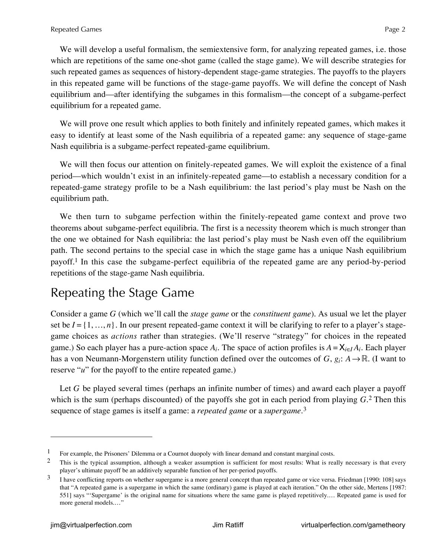We will develop a useful formalism, the semiextensive form, for analyzing repeated games, i.e. those which are repetitions of the same one-shot game (called the stage game). We will describe strategies for such repeated games as sequences of history-dependent stage-game strategies. The payoffs to the players in this repeated game will be functions of the stage-game payoffs. We will define the concept of Nash equilibrium and—after identifying the subgames in this formalism—the concept of a subgame-perfect equilibrium for a repeated game.

We will prove one result which applies to both finitely and infinitely repeated games, which makes it easy to identify at least some of the Nash equilibria of a repeated game: any sequence of stage-game Nash equilibria is a subgame-perfect repeated-game equilibrium.

We will then focus our attention on finitely-repeated games. We will exploit the existence of a final period—which wouldn't exist in an infinitely-repeated game—to establish a necessary condition for a repeated-game strategy profile to be a Nash equilibrium: the last period's play must be Nash on the equilibrium path.

We then turn to subgame perfection within the finitely-repeated game context and prove two theorems about subgame-perfect equilibria. The first is a necessity theorem which is much stronger than the one we obtained for Nash equilibria: the last period's play must be Nash even off the equilibrium path. The second pertains to the special case in which the stage game has a unique Nash equilibrium payoff.1 In this case the subgame-perfect equilibria of the repeated game are any period-by-period repetitions of the stage-game Nash equilibria.

# Repeating the Stage Game

Consider a game G (which we'll call the *stage game* or the *constituent game*). As usual we let the player set be  $I = \{1, ..., n\}$ . In our present repeated-game context it will be clarifying to refer to a player's stagegame choices as *actions* rather than strategies. (We'll reserve "strategy" for choices in the repeated game.) So each player has a pure-action space  $A_i$ . The space of action profiles is  $A = X_{i \in I}A_i$ . Each player has a von Neumann-Morgenstern utility function defined over the outcomes of G,  $g_i: A \to \mathbb{R}$ . (I want to reserve "*u*" for the payoff to the entire repeated game.)

Let G be played several times (perhaps an infinite number of times) and award each player a payoff which is the sum (perhaps discounted) of the payoffs she got in each period from playing  $G<sup>2</sup>$ . Then this sequence of stage games is itself a game: a *repeated game* or a *supergame.*3

<sup>1</sup> For example, the Prisoners' Dilemma or a Cournot duopoly with linear demand and constant marginal costs.

 $2$  This is the typical assumption, although a weaker assumption is sufficient for most results: What is really necessary is that every player's ultimate payoff be an additively separable function of her per-period payoffs.

<sup>&</sup>lt;sup>3</sup> I have conflicting reports on whether supergame is a more general concept than repeated game or vice versa. Friedman [1990: 108] says that "A repeated game is a supergame in which the same (ordinary) game is played at each iteration." On the other side, Mertens [1987: 551] says "'Supergame' is the original name for situations where the same game is played repetitively.… Repeated game is used for more general models.…"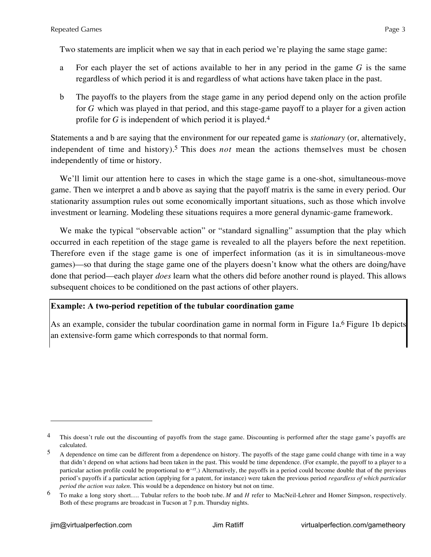- Two statements are implicit when we say that in each period we're playing the same stage game:
- a For each player the set of actions available to her in any period in the game  $G$  is the same regardless of which period it is and regardless of what actions have taken place in the past.
- b The payoffs to the players from the stage game in any period depend only on the action profile for G which was played in that period, and this stage-game payoff to a player for a given action profile for G is independent of which period it is played.4

Statements a and b are saying that the environment for our repeated game is *stationary* (or, alternatively, independent of time and history).<sup>5</sup> This does *not* mean the actions themselves must be chosen independently of time or history.

We'll limit our attention here to cases in which the stage game is a one-shot, simultaneous-move game. Then we interpret a and b above as saying that the payoff matrix is the same in every period. Our stationarity assumption rules out some economically important situations, such as those which involve investment or learning. Modeling these situations requires a more general dynamic-game framework.

We make the typical "observable action" or "standard signalling" assumption that the play which occurred in each repetition of the stage game is revealed to all the players before the next repetition. Therefore even if the stage game is one of imperfect information (as it is in simultaneous-move games)—so that during the stage game one of the players doesn't know what the others are doing/have done that period—each player *does* learn what the others did before another round is played. This allows subsequent choices to be conditioned on the past actions of other players.

#### **Example: A two-period repetition of the tubular coordination game**

As an example, consider the tubular coordination game in normal form in Figure 1a.<sup>6</sup> Figure 1b depicts an extensive-form game which corresponds to that normal form.

<sup>&</sup>lt;sup>4</sup> This doesn't rule out the discounting of payoffs from the stage game. Discounting is performed after the stage game's payoffs are calculated.

<sup>5</sup> A dependence on time can be different from a dependence on history. The payoffs of the stage game could change with time in a way that didn't depend on what actions had been taken in the past. This would be time dependence. (For example, the payoff to a player to a particular action profile could be proportional to  $e^{-rt}$ .) Alternatively, the payoffs in a period could become double that of the previous period's payoffs if a particular action (applying for a patent, for instance) were taken the previous period *regardless of which particular period the action was taken*. This would be a dependence on history but not on time.

 $^6$  To make a long story short.... Tubular refers to the boob tube. M and H refer to MacNeil-Lehrer and Homer Simpson, respectively. Both of these programs are broadcast in Tucson at 7 p.m. Thursday nights.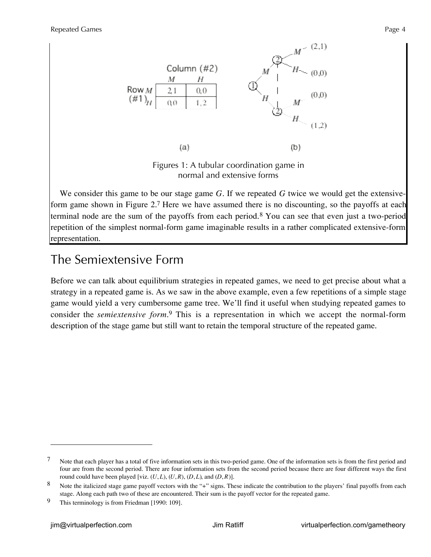

Figures 1: A tubular coordination game in normal and extensive forms

We consider this game to be our stage game G. If we repeated G twice we would get the extensiveform game shown in Figure 2.7 Here we have assumed there is no discounting, so the payoffs at each terminal node are the sum of the payoffs from each period.8 You can see that even just a two-period repetition of the simplest normal-form game imaginable results in a rather complicated extensive-form representation.

## The Semiextensive Form

Before we can talk about equilibrium strategies in repeated games, we need to get precise about what a strategy in a repeated game is. As we saw in the above example, even a few repetitions of a simple stage game would yield a very cumbersome game tree. We'll find it useful when studying repeated games to consider the *semiextensive form*.9 This is a representation in which we accept the normal-form description of the stage game but still want to retain the temporal structure of the repeated game.

<sup>7</sup> Note that each player has a total of five information sets in this two-period game. One of the information sets is from the first period and four are from the second period. There are four information sets from the second period because there are four different ways the first round could have been played [viz.  $(U, L)$ ,  $(U, R)$ ,  $(D, L)$ , and  $(D, R)$ ].

<sup>8</sup> Note the italicized stage game payoff vectors with the "+" signs. These indicate the contribution to the players' final payoffs from each stage. Along each path two of these are encountered. Their sum is the payoff vector for the repeated game.

<sup>9</sup> This terminology is from Friedman [1990: 109].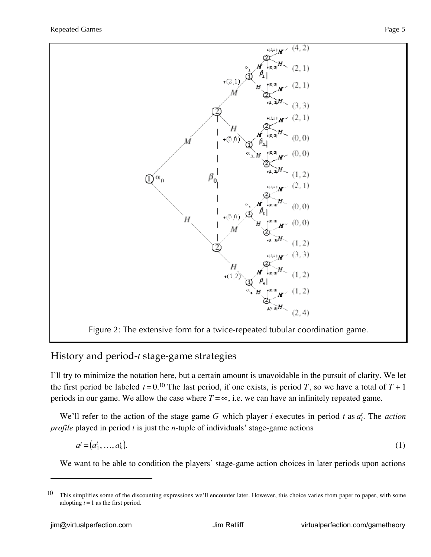

### History and period-t stage-game strategies

I'll try to minimize the notation here, but a certain amount is unavoidable in the pursuit of clarity. We let the first period be labeled  $t=0.10$  The last period, if one exists, is period T, so we have a total of  $T+1$ periods in our game. We allow the case where  $T = \infty$ , i.e. we can have an infinitely repeated game.

We'll refer to the action of the stage game  $G$  which player *i* executes in period *t* as  $a_i^t$ . The *action profile* played in period t is just the n-tuple of individuals' stage-game actions

$$
a^t = (a_1^t, \dots, a_n^t). \tag{1}
$$

We want to be able to condition the players' stage-game action choices in later periods upon actions

<sup>&</sup>lt;sup>10</sup> This simplifies some of the discounting expressions we'll encounter later. However, this choice varies from paper to paper, with some adopting  $t=1$  as the first period.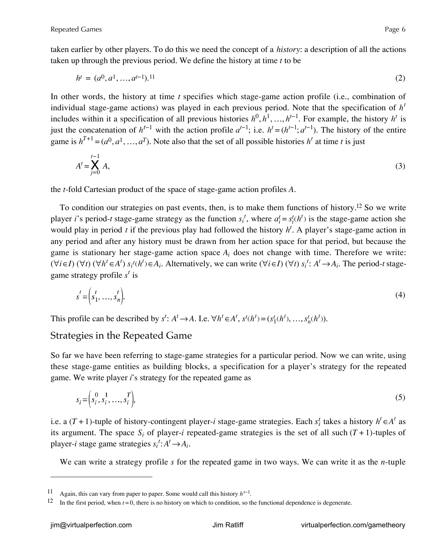taken earlier by other players. To do this we need the concept of a *history*: a description of all the actions taken up through the previous period. We define the history at time t to be

$$
h^{t} = (a^{0}, a^{1}, ..., a^{t-1}).^{11}
$$
 (2)

In other words, the history at time t specifies which stage-game action profile (i.e., combination of individual stage-game actions) was played in each previous period. Note that the specification of  $h<sup>t</sup>$ includes within it a specification of all previous histories  $h^0, h^1, \ldots, h^{t-1}$ . For example, the history  $h^t$  is just the concatenation of  $h^{t-1}$  with the action profile  $a^{t-1}$ ; i.e.  $h^t = (h^{t-1}; a^{t-1})$ . The history of the entire game is  $h^{T+1} = (a^0, a^1, ..., a^T)$ . Note also that the set of all possible histories  $h^t$  at time t is just

$$
At = \sum_{j=0}^{t-1} A,
$$
\n(3)

the t-fold Cartesian product of the space of stage-game action profiles A.

To condition our strategies on past events, then, is to make them functions of history.12 So we write player *i*'s period-*t* stage-game strategy as the function  $s_i^t$ , where  $a_i^t = s_i^t(h^t)$  is the stage-game action she would play in period t if the previous play had followed the history  $h^t$ . A player's stage-game action in any period and after any history must be drawn from her action space for that period, but because the game is stationary her stage-game action space  $A_i$  does not change with time. Therefore we write:  $(\forall i \in I) (\forall t) (\forall h^t \in A^t) s_i(t) \in A_i$ . Alternatively, we can write  $(\forall i \in I) (\forall t) s_i^t : A^t \to A_i$ . The period-t stagegame strategy profile  $s<sup>t</sup>$  is

$$
s' = \left(s_1', \dots, s_n'\right). \tag{4}
$$

This profile can be described by  $s^t: A^t \to A$ . I.e.  $\forall h^t \in A^t$ ,  $s^t(h^t) = (s_1^t(h^t), ..., s_n^t(h^t))$ .

### Strategies in the Repeated Game

So far we have been referring to stage-game strategies for a particular period. Now we can write, using these stage-game entities as building blocks, a specification for a player's strategy for the repeated game. We write player i's strategy for the repeated game as

$$
s_i = \left(s_i^0, s_i^1, \dots, s_i^T\right),\tag{5}
$$

i.e. a  $(T + 1)$ -tuple of history-contingent player-*i* stage-game strategies. Each  $s_i^t$  takes a history  $h^t \in A^t$  as its argument. The space  $S_i$  of player-i repeated-game strategies is the set of all such  $(T + 1)$ -tuples of player-*i* stage game strategies  $s_i^t$ :  $A^t \rightarrow A_i$ .

We can write a strategy profile  $s$  for the repeated game in two ways. We can write it as the  $n$ -tuple

<sup>11</sup> Again, this can vary from paper to paper. Some would call this history  $h^{t-1}$ .

<sup>12</sup> In the first period, when  $t=0$ , there is no history on which to condition, so the functional dependence is degenerate.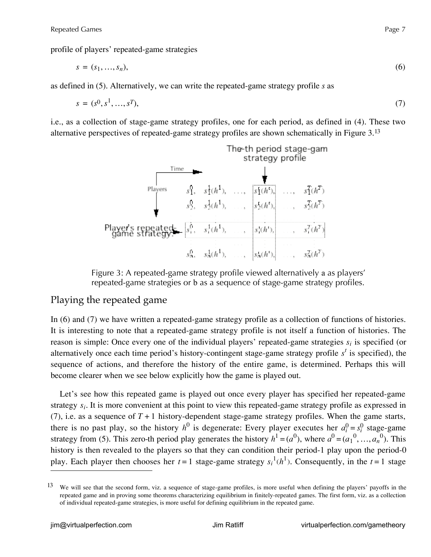profile of players' repeated-game strategies

$$
s = (s_1, \ldots, s_n), \tag{6}
$$

as defined in (5). Alternatively, we can write the repeated-game strategy profile s as

$$
s = (s^0, s^1, \dots, s^T), \tag{7}
$$

i.e., as a collection of stage-game strategy profiles, one for each period, as defined in (4). These two alternative perspectives of repeated-game strategy profiles are shown schematically in Figure 3.13



Figure 3: A repeated-game strategy profile viewed alternatively a as players' repeated-game strategies or b as a sequence of stage-game strategy profiles.

#### Playing the repeated game

In (6) and (7) we have written a repeated-game strategy profile as a collection of functions of histories. It is interesting to note that a repeated-game strategy profile is not itself a function of histories. The reason is simple: Once every one of the individual players' repeated-game strategies  $s_i$  is specified (or alternatively once each time period's history-contingent stage-game strategy profile  $s<sup>t</sup>$  is specified), the sequence of actions, and therefore the history of the entire game, is determined. Perhaps this will become clearer when we see below explicitly how the game is played out.

Let's see how this repeated game is played out once every player has specified her repeated-game strategy  $s_i$ . It is more convenient at this point to view this repeated-game strategy profile as expressed in (7), i.e. as a sequence of  $T+1$  history-dependent stage-game strategy profiles. When the game starts, there is no past play, so the history  $h^0$  is degenerate: Every player executes her  $a_i^0 = s_i^0$  stage-game strategy from (5). This zero-th period play generates the history  $h^1 = (a^0)$ , where  $a^0 = (a_1^0, \ldots, a_n^0)$ . This history is then revealed to the players so that they can condition their period-1 play upon the period-0 play. Each player then chooses her  $t = 1$  stage-game strategy  $s_i^1(h^1)$ . Consequently, in the  $t = 1$  stage  $\overline{a}$ 

 $13$  We will see that the second form, viz. a sequence of stage-game profiles, is more useful when defining the players' payoffs in the repeated game and in proving some theorems characterizing equilibrium in finitely-repeated games. The first form, viz. as a collection of individual repeated-game strategies, is more useful for defining equilibrium in the repeated game.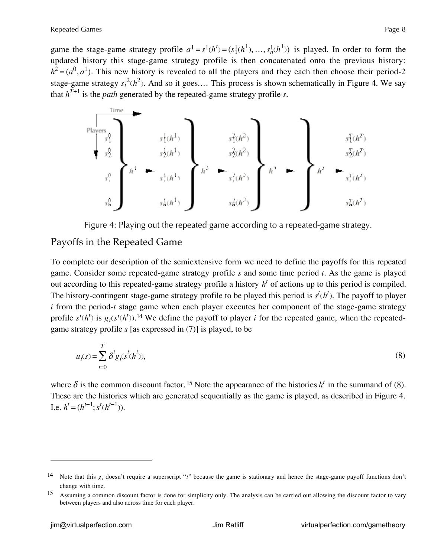game the stage-game strategy profile  $a^1 = s^1(h^1) = (s_1^1(h^1), \ldots, s_n^1(h^1))$  is played. In order to form the updated history this stage-game strategy profile is then concatenated onto the previous history:  $h^2 = (a^0, a^1)$ . This new history is revealed to all the players and they each then choose their period-2 stage-game strategy  $s_i^2(h^2)$ . And so it goes.... This process is shown schematically in Figure 4. We say that  $h^{T+1}$  is the *path* generated by the repeated-game strategy profile s.



Figure 4: Playing out the repeated game according to a repeated-game strategy.

### Payoffs in the Repeated Game

To complete our description of the semiextensive form we need to define the payoffs for this repeated game. Consider some repeated-game strategy profile s and some time period t. As the game is played out according to this repeated-game strategy profile a history  $h<sup>t</sup>$  of actions up to this period is compiled. The history-contingent stage-game strategy profile to be played this period is  $s^t(h^t)$ . The payoff to player  $i$  from the period-t stage game when each player executes her component of the stage-game strategy profile  $s^t(h^t)$  is  $g_i(s^t(h^t))$ .<sup>14</sup> We define the payoff to player *i* for the repeated game, when the repeatedgame strategy profile s [as expressed in (7)] is played, to be

$$
u_i(s) = \sum_{t=0}^{T} \delta^t g_i(s^t(h^t)),
$$
\n(8)

where  $\delta$  is the common discount factor. <sup>15</sup> Note the appearance of the histories  $h^t$  in the summand of (8). These are the histories which are generated sequentially as the game is played, as described in Figure 4. I.e.  $h^t = (h^{t-1}; s^t (h^{t-1})).$ 

<sup>14</sup> Note that this  $g_i$  doesn't require a superscript "t" because the game is stationary and hence the stage-game payoff functions don't change with time.

<sup>15</sup> Assuming a common discount factor is done for simplicity only. The analysis can be carried out allowing the discount factor to vary between players and also across time for each player.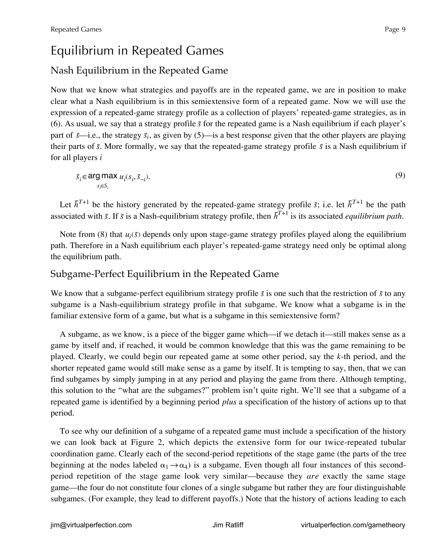# Equilibrium in Repeated Games

### Nash Equilibrium in the Repeated Game

Now that we know what strategies and payoffs are in the repeated game, we are in position to make clear what a Nash equilibrium is in this semiextensive form of a repeated game. Now we will use the expression of a repeated-game strategy profile as a collection of players' repeated-game strategies, as in (6). As usual, we say that a strategy profile  $\bar{s}$  for the repeated game is a Nash equilibrium if each player's part of  $\bar{s}$ —i.e., the strategy  $\bar{s}_i$ , as given by (5)—is a best response given that the other players are playing their parts of  $\bar{s}$ . More formally, we say that the repeated-game strategy profile  $\bar{s}$  is a Nash equilibrium if for all players  $i$ 

$$
\bar{s}_i \in \arg \max_{s_i \in S_i} u_i(s_i, \bar{s}_{-i}).
$$
\n(9)

Let  $\bar{h}^{T+1}$  be the history generated by the repeated-game strategy profile  $\bar{s}$ ; i.e. let  $\bar{h}^{T+1}$  be the path associated with  $\bar{s}$ . If  $\bar{s}$  is a Nash-equilibrium strategy profile, then  $\bar{h}^{T+1}$  is its associated *equilibrium path*.

Note from (8) that  $u_i(\bar{s})$  depends only upon stage-game strategy profiles played along the equilibrium path. Therefore in a Nash equilibrium each player's repeated-game strategy need only be optimal along the equilibrium path.

### Subgame-Perfect Equilibrium in the Repeated Game

We know that a subgame-perfect equilibrium strategy profile  $\bar{s}$  is one such that the restriction of  $\bar{s}$  to any subgame is a Nash-equilibrium strategy profile in that subgame. We know what a subgame is in the familiar extensive form of a game, but what is a subgame in this semiextensive form?

A subgame, as we know, is a piece of the bigger game which—if we detach it—still makes sense as a game by itself and, if reached, it would be common knowledge that this was the game remaining to be played. Clearly, we could begin our repeated game at some other period, say the k-th period, and the shorter repeated game would still make sense as a game by itself. It is tempting to say, then, that we can find subgames by simply jumping in at any period and playing the game from there. Although tempting, this solution to the "what are the subgames?" problem isn't quite right. We'll see that a subgame of a repeated game is identified by a beginning period *plus* a specification of the history of actions up to that period.

To see why our definition of a subgame of a repeated game must include a specification of the history we can look back at Figure 2, which depicts the extensive form for our twice-repeated tubular coordination game. Clearly each of the second-period repetitions of the stage game (the parts of the tree beginning at the nodes labeled  $\alpha_1 \rightarrow \alpha_4$ ) is a subgame. Even though all four instances of this secondperiod repetition of the stage game look very similar—because they *are* exactly the same stage game—the four do not constitute four clones of a single subgame but rather they are four distinguishable subgames. (For example, they lead to different payoffs.) Note that the history of actions leading to each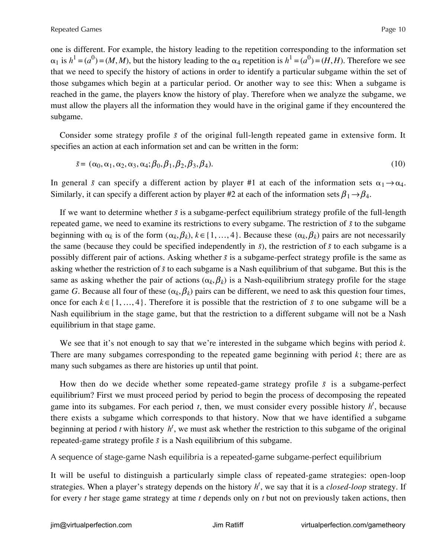one is different. For example, the history leading to the repetition corresponding to the information set  $\alpha_1$  is  $h^1 = (a^0) = (M, M)$ , but the history leading to the  $\alpha_4$  repetition is  $h^1 = (a^0) = (H, H)$ . Therefore we see that we need to specify the history of actions in order to identify a particular subgame within the set of those subgames which begin at a particular period. Or another way to see this: When a subgame is reached in the game, the players know the history of play. Therefore when we analyze the subgame, we must allow the players all the information they would have in the original game if they encountered the subgame.

Consider some strategy profile  $\bar{s}$  of the original full-length repeated game in extensive form. It specifies an action at each information set and can be written in the form:

$$
\bar{s} = (\alpha_0, \alpha_1, \alpha_2, \alpha_3, \alpha_4; \beta_0, \beta_1, \beta_2, \beta_3, \beta_4). \tag{10}
$$

In general  $\bar{s}$  can specify a different action by player #1 at each of the information sets  $\alpha_1 \rightarrow \alpha_4$ . Similarly, it can specify a different action by player #2 at each of the information sets  $\beta_1 \rightarrow \beta_4$ .

If we want to determine whether  $\bar{s}$  is a subgame-perfect equilibrium strategy profile of the full-length repeated game, we need to examine its restrictions to every subgame. The restriction of  $\bar{s}$  to the subgame beginning with  $\alpha_k$  is of the form  $(\alpha_k,\beta_k)$ ,  $k \in \{1, ..., 4\}$ . Because these  $(\alpha_k,\beta_k)$  pairs are not necessarily the same (because they could be specified independently in  $\bar{s}$ ), the restriction of  $\bar{s}$  to each subgame is a possibly different pair of actions. Asking whether  $\bar{s}$  is a subgame-perfect strategy profile is the same as asking whether the restriction of  $\bar{s}$  to each subgame is a Nash equilibrium of that subgame. But this is the same as asking whether the pair of actions ( $\alpha_k, \beta_k$ ) is a Nash-equilibrium strategy profile for the stage game G. Because all four of these  $(\alpha_k,\beta_k)$  pairs can be different, we need to ask this question four times, once for each  $k \in \{1, ..., 4\}$ . Therefore it is possible that the restriction of  $\bar{s}$  to one subgame will be a Nash equilibrium in the stage game, but that the restriction to a different subgame will not be a Nash equilibrium in that stage game.

We see that it's not enough to say that we're interested in the subgame which begins with period  $k$ . There are many subgames corresponding to the repeated game beginning with period  $k$ ; there are as many such subgames as there are histories up until that point.

How then do we decide whether some repeated-game strategy profile  $\bar{s}$  is a subgame-perfect equilibrium? First we must proceed period by period to begin the process of decomposing the repeated game into its subgames. For each period t, then, we must consider every possible history  $h<sup>t</sup>$ , because there exists a subgame which corresponds to that history. Now that we have identified a subgame beginning at period t with history  $h^t$ , we must ask whether the restriction to this subgame of the original repeated-game strategy profile  $\bar{s}$  is a Nash equilibrium of this subgame.

A sequence of stage-game Nash equilibria is a repeated-game subgame-perfect equilibrium

It will be useful to distinguish a particularly simple class of repeated-game strategies: open-loop strategies. When a player's strategy depends on the history  $h<sup>t</sup>$ , we say that it is a *closed-loop* strategy. If for every t her stage game strategy at time t depends only on t but not on previously taken actions, then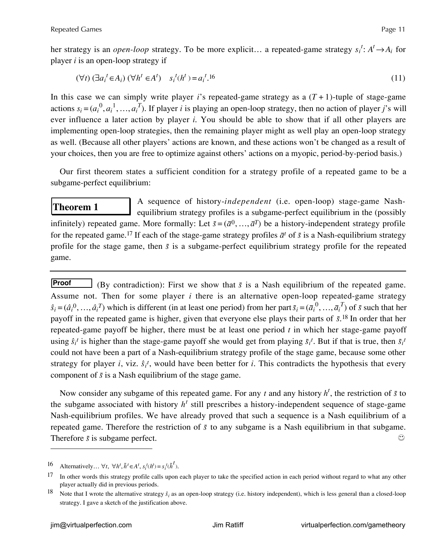her strategy is an *open-loop* strategy. To be more explicit... a repeated-game strategy  $s_i^t$ :  $A^t \rightarrow A_i$  for player  $i$  is an open-loop strategy if

$$
(\forall t) (\exists a_i^t \in A_i) (\forall h^t \in A^t) \# s_i^t (h^t) = a_i^t.16
$$
\n(11)

In this case we can simply write player *i*'s repeated-game strategy as a  $(T + 1)$ -tuple of stage-game actions  $s_i = (a_i^0, a_i^1, ..., a_i^T)$ . If player *i* is playing an open-loop strategy, then no action of player *j*'s will ever influence a later action by player *i*. You should be able to show that if all other players are implementing open-loop strategies, then the remaining player might as well play an open-loop strategy as well. (Because all other players' actions are known, and these actions won't be changed as a result of your choices, then you are free to optimize against others' actions on a myopic, period-by-period basis.)

Our first theorem states a sufficient condition for a strategy profile of a repeated game to be a subgame-perfect equilibrium:

A sequence of history-*independent* (i.e. open-loop) stage-game Nashequilibrium strategy profiles is a subgame-perfect equilibrium in the (possibly infinitely) repeated game. More formally: Let  $\bar{s}=(\bar{a}^0, ..., \bar{a}^T)$  be a history-independent strategy profile for the repeated game.<sup>17</sup> If each of the stage-game strategy profiles  $\bar{a}^t$  of  $\bar{s}$  is a Nash-equilibrium strategy profile for the stage game, then  $\bar{s}$  is a subgame-perfect equilibrium strategy profile for the repeated game. **Theorem 1**

(By contradiction): First we show that  $\bar{s}$  is a Nash equilibrium of the repeated game. Assume not. Then for some player  $i$  there is an alternative open-loop repeated-game strategy  $\hat{s}_i = (\hat{a}_i^0, \dots, \hat{a}_i^T)$  which is different (in at least one period) from her part  $\bar{s}_i = (\bar{a}_i^0, \dots, \bar{a}_i^T)$  of  $\bar{s}$  such that her payoff in the repeated game is higher, given that everyone else plays their parts of  $\bar{s}$ .<sup>18</sup> In order that her repeated-game payoff be higher, there must be at least one period  $t$  in which her stage-game payoff using  $\hat{s}_i$ <sup>t</sup> is higher than the stage-game payoff she would get from playing  $\bar{s}_i$ <sup>t</sup>. But if that is true, then  $\bar{s}_i$ <sup>t</sup> could not have been a part of a Nash-equilibrium strategy profile of the stage game, because some other strategy for player *i*, viz.  $\hat{s}_i^t$ , would have been better for *i*. This contradicts the hypothesis that every component of  $\bar{s}$  is a Nash equilibrium of the stage game. **Proof**

Now consider any subgame of this repeated game. For any t and any history  $h^t$ , the restriction of  $\bar{s}$  to the subgame associated with history  $h<sup>t</sup>$  still prescribes a history-independent sequence of stage-game Nash-equilibrium profiles. We have already proved that such a sequence is a Nash equilibrium of a repeated game. Therefore the restriction of  $\bar{s}$  to any subgame is a Nash equilibrium in that subgame. Therefore  $\bar{s}$  is subgame perfect.

<sup>16</sup> Alternatively...  $\forall t, \forall h^t, \tilde{h}^t \in A^t, s_i^t(h^t) = s_i^t(\tilde{h}^t).$ 

<sup>&</sup>lt;sup>17</sup> In other words this strategy profile calls upon each player to take the specified action in each period without regard to what any other player actually did in previous periods.

<sup>18</sup> Note that I wrote the alternative strategy  $\hat{s}_i$  as an open-loop strategy (i.e. history independent), which is less general than a closed-loop strategy. I gave a sketch of the justification above.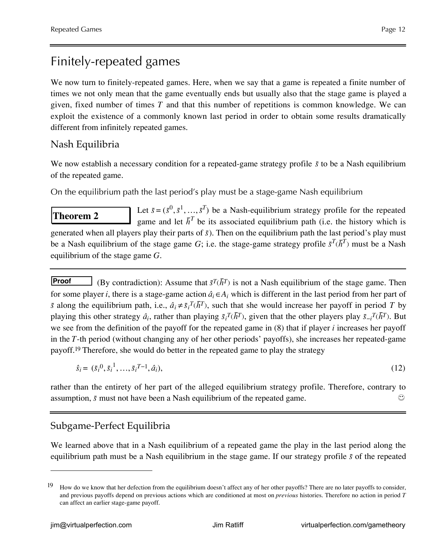## Finitely-repeated games

We now turn to finitely-repeated games. Here, when we say that a game is repeated a finite number of times we not only mean that the game eventually ends but usually also that the stage game is played a given, fixed number of times  $T$  and that this number of repetitions is common knowledge. We can exploit the existence of a commonly known last period in order to obtain some results dramatically different from infinitely repeated games.

### Nash Equilibria

We now establish a necessary condition for a repeated-game strategy profile  $\bar{s}$  to be a Nash equilibrium of the repeated game.

On the equilibrium path the last period's play must be a stage-game Nash equilibrium

Let  $\bar{s} = (\bar{s}^0, \bar{s}^1, ..., \bar{s}^T)$  be a Nash-equilibrium strategy profile for the repeated game and let  $\bar{h}^T$  be its associated equilibrium path (i.e. the history which is generated when all players play their parts of  $\bar{s}$ ). Then on the equilibrium path the last period's play must be a Nash equilibrium of the stage game G; i.e. the stage-game strategy profile  $\bar{s}^T(\bar{h}^T)$  must be a Nash equilibrium of the stage game G. **Theorem 2**

Gy contradiction): Assume that  $\bar{s}^T(\bar{h}^T)$  is not a Nash equilibrium of the stage game. Then for some player *i*, there is a stage-game action  $\hat{a}_i \in A_i$  which is different in the last period from her part of *s* along the equilibrium path, i.e.,  $\hat{a}_i \neq \bar{s}_i^T(\bar{h}^T)$ , such that she would increase her payoff in period T by playing this other strategy  $\hat{a}_i$ , rather than playing  $\bar{s}_i{}^T(\bar{h}^T)$ , given that the other players play  $\bar{s}_{-i}{}^T(\bar{h}^T)$ . But we see from the definition of the payoff for the repeated game in (8) that if player *i* increases her payoff in the T-th period (without changing any of her other periods' payoffs), she increases her repeated-game payoff.19 Therefore, she would do better in the repeated game to play the strategy **Proof**

$$
\hat{s}_i = (\bar{s}_i^0, \bar{s}_i^1, \dots, \bar{s}_i^{T-1}, \hat{a}_i), \tag{12}
$$

rather than the entirety of her part of the alleged equilibrium strategy profile. Therefore, contrary to assumption,  $\bar{s}$  must not have been a Nash equilibrium of the repeated game.

## Subgame-Perfect Equilibria

We learned above that in a Nash equilibrium of a repeated game the play in the last period along the equilibrium path must be a Nash equilibrium in the stage game. If our strategy profile  $\bar{s}$  of the repeated

<sup>&</sup>lt;sup>19</sup> How do we know that her defection from the equilibrium doesn't affect any of her other payoffs? There are no later payoffs to consider, and previous payoffs depend on previous actions which are conditioned at most on *previous* histories. Therefore no action in period T can affect an earlier stage-game payoff.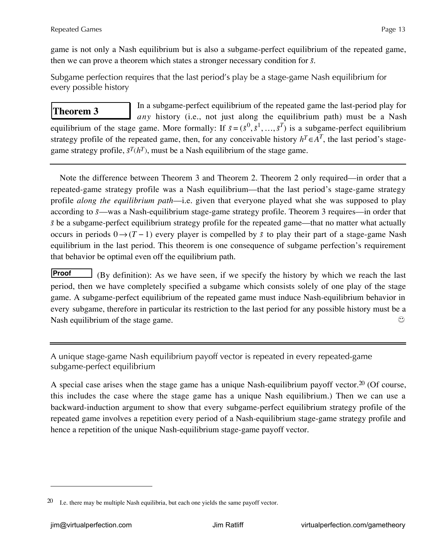game is not only a Nash equilibrium but is also a subgame-perfect equilibrium of the repeated game, then we can prove a theorem which states a stronger necessary condition for s.

Subgame perfection requires that the last period's play be a stage-game Nash equilibrium for every possible history

In a subgame-perfect equilibrium of the repeated game the last-period play for *any* history (i.e., not just along the equilibrium path) must be a Nash equilibrium of the stage game. More formally: If  $\bar{s} = (\bar{s}^0, \bar{s}^1, ..., \bar{s}^T)$  is a subgame-perfect equilibrium strategy profile of the repeated game, then, for any conceivable history  $h^T \in A^T$ , the last period's stagegame strategy profile,  $\bar{s}^T(h^T)$ , must be a Nash equilibrium of the stage game. **Theorem 3**

Note the difference between Theorem 3 and Theorem 2. Theorem 2 only required—in order that a repeated-game strategy profile was a Nash equilibrium—that the last period's stage-game strategy profile *along the equilibrium path*—i.e. given that everyone played what she was supposed to play according to  $\bar{s}$ —was a Nash-equilibrium stage-game strategy profile. Theorem 3 requires—in order that s be a subgame-perfect equilibrium strategy profile for the repeated game—that no matter what actually occurs in periods  $0 \rightarrow (T-1)$  every player is compelled by  $\bar{s}$  to play their part of a stage-game Nash equilibrium in the last period. This theorem is one consequence of subgame perfection's requirement that behavior be optimal even off the equilibrium path.

(By definition): As we have seen, if we specify the history by which we reach the last period, then we have completely specified a subgame which consists solely of one play of the stage game. A subgame-perfect equilibrium of the repeated game must induce Nash-equilibrium behavior in every subgame, therefore in particular its restriction to the last period for any possible history must be a Nash equilibrium of the stage game.  $\circledcirc$ **Proof**

A unique stage-game Nash equilibrium payoff vector is repeated in every repeated-game subgame-perfect equilibrium

A special case arises when the stage game has a unique Nash-equilibrium payoff vector.20 (Of course, this includes the case where the stage game has a unique Nash equilibrium.) Then we can use a backward-induction argument to show that every subgame-perfect equilibrium strategy profile of the repeated game involves a repetition every period of a Nash-equilibrium stage-game strategy profile and hence a repetition of the unique Nash-equilibrium stage-game payoff vector.

<sup>20</sup> I.e. there may be multiple Nash equilibria, but each one yields the same payoff vector.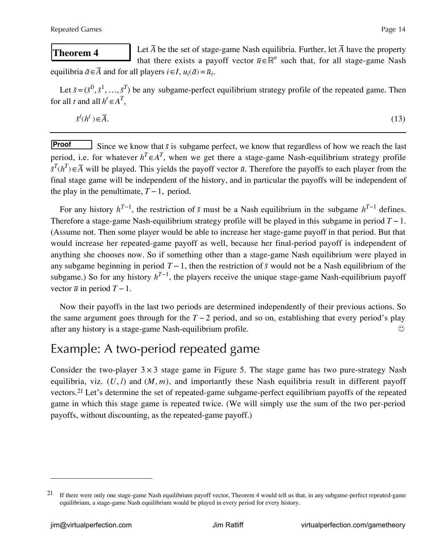#### **Theorem 4**

Let  $\overline{A}$  be the set of stage-game Nash equilibria. Further, let  $\overline{A}$  have the property that there exists a payoff vector  $\bar{u} \in \mathbb{R}^n$  such that, for all stage-game Nash equilibria  $\bar{a} \in \bar{A}$  and for all players  $i \in I$ ,  $u_i(\bar{a}) = \bar{u}_i$ .

Let  $\bar{s} = (\bar{s}^0, \bar{s}^1, ..., \bar{s}^T)$  be any subgame-perfect equilibrium strategy profile of the repeated game. Then for all t and all  $h^t \in A^T$ ,

 $s^t$  $(h^t) \in \overline{A}.$  (13)

Since we know that  $\bar{s}$  is subgame perfect, we know that regardless of how we reach the last period, i.e. for whatever  $h^T \in A^T$ , when we get there a stage-game Nash-equilibrium strategy profile  $\bar{s}^T(h^T) \in \bar{A}$  will be played. This yields the payoff vector  $\bar{u}$ . Therefore the payoffs to each player from the final stage game will be independent of the history, and in particular the payoffs will be independent of the play in the penultimate,  $T-1$ , period. **Proof**

For any history  $h^{T-1}$ , the restriction of  $\bar{s}$  must be a Nash equilibrium in the subgame  $h^{T-1}$  defines. Therefore a stage-game Nash-equilibrium strategy profile will be played in this subgame in period  $T-1$ . (Assume not. Then some player would be able to increase her stage-game payoff in that period. But that would increase her repeated-game payoff as well, because her final-period payoff is independent of anything she chooses now. So if something other than a stage-game Nash equilibrium were played in any subgame beginning in period  $T-1$ , then the restriction of  $\bar{s}$  would not be a Nash equilibrium of the subgame.) So for any history  $h^{T-1}$ , the players receive the unique stage-game Nash-equilibrium payoff vector  $\bar{u}$  in period  $T-1$ .

Now their payoffs in the last two periods are determined independently of their previous actions. So the same argument goes through for the  $T-2$  period, and so on, establishing that every period's play after any history is a stage-game Nash-equilibrium profile.  $\circledcirc$ 

## Example: A two-period repeated game

Consider the two-player  $3 \times 3$  stage game in Figure 5. The stage game has two pure-strategy Nash equilibria, viz.  $(U, l)$  and  $(M, m)$ , and importantly these Nash equilibria result in different payoff vectors.21 Let's determine the set of repeated-game subgame-perfect equilibrium payoffs of the repeated game in which this stage game is repeated twice. (We will simply use the sum of the two per-period payoffs, without discounting, as the repeated-game payoff.)

<sup>&</sup>lt;sup>21</sup> If there were only one stage-game Nash equilibrium payoff vector, Theorem 4 would tell us that, in any subgame-perfect repeated-game equilibrium, a stage-game Nash equilibrium would be played in every period for every history.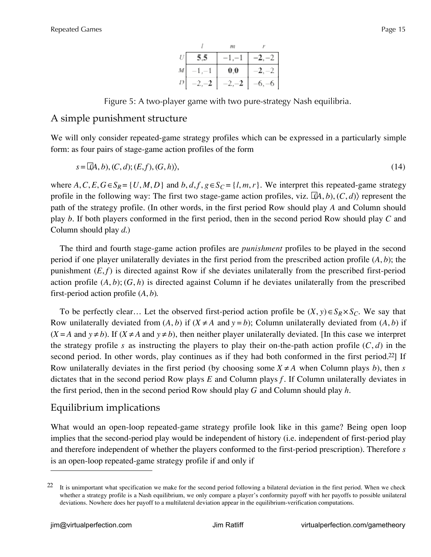|   |          | m                       |             |
|---|----------|-------------------------|-------------|
| U |          |                         | -2          |
| M |          | $\mathbf{0},\mathbf{0}$ |             |
| D | $-2, -2$ | $-2, -2$                | -6,<br>$-6$ |

Figure 5: A two-player game with two pure-strategy Nash equilibria.

#### A simple punishment structure

We will only consider repeated-game strategy profiles which can be expressed in a particularly simple form: as four pairs of stage-game action profiles of the form

$$
s = \langle (A, b), (C, d), (E, f), (G, h) \rangle,
$$
\n
$$
(14)
$$

where  $A, C, E, G \in S_R = \{U, M, D\}$  and  $b, d, f, g \in S_C = \{l, m, r\}$ . We interpret this repeated-game strategy profile in the following way: The first two stage-game action profiles, viz.  $\langle (A,b), (C,d) \rangle$  represent the path of the strategy profile. (In other words, in the first period Row should play A and Column should play b. If both players conformed in the first period, then in the second period Row should play C and Column should play d.)

The third and fourth stage-game action profiles are *punishment* profiles to be played in the second period if one player unilaterally deviates in the first period from the prescribed action profile  $(A, b)$ ; the punishment  $(E, f)$  is directed against Row if she deviates unilaterally from the prescribed first-period action profile  $(A, b)$ ;  $(G, h)$  is directed against Column if he deviates unilaterally from the prescribed first-period action profile  $(A, b)$ .

To be perfectly clear… Let the observed first-period action profile be  $(X, y) \in S_R \times S_C$ . We say that Row unilaterally deviated from  $(A, b)$  if  $(X \neq A$  and  $y = b)$ ; Column unilaterally deviated from  $(A, b)$  if  $(X = A \text{ and } y \neq b)$ . If  $(X \neq A \text{ and } y \neq b)$ , then neither player unilaterally deviated. [In this case we interpret the strategy profile s as instructing the players to play their on-the-path action profile  $(C, d)$  in the second period. In other words, play continues as if they had both conformed in the first period.<sup>22</sup>] If Row unilaterally deviates in the first period (by choosing some  $X \neq A$  when Column plays b), then s dictates that in the second period Row plays  $E$  and Column plays  $f$ . If Column unilaterally deviates in the first period, then in the second period Row should play  $G$  and Column should play  $h$ .

#### Equilibrium implications

What would an open-loop repeated-game strategy profile look like in this game? Being open loop implies that the second-period play would be independent of history (i.e. independent of first-period play and therefore independent of whether the players conformed to the first-period prescription). Therefore s is an open-loop repeated-game strategy profile if and only if

 $22$  It is unimportant what specification we make for the second period following a bilateral deviation in the first period. When we check whether a strategy profile is a Nash equilibrium, we only compare a player's conformity payoff with her payoffs to possible unilateral deviations. Nowhere does her payoff to a multilateral deviation appear in the equilibrium-verification computations.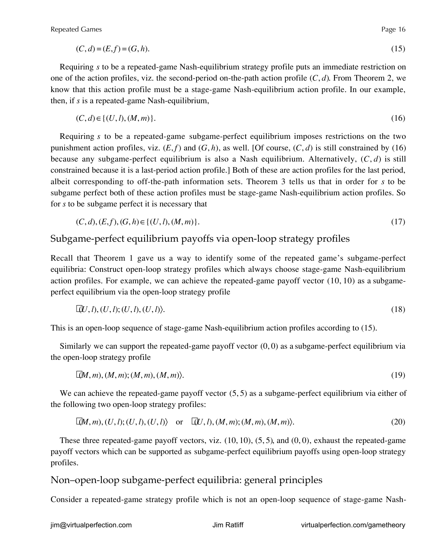Repeated Games **Page 16** 

$$
(C,d) = (E,f) = (G,h). \tag{15}
$$

Requiring s to be a repeated-game Nash-equilibrium strategy profile puts an immediate restriction on one of the action profiles, viz. the second-period on-the-path action profile  $(C, d)$ . From Theorem 2, we know that this action profile must be a stage-game Nash-equilibrium action profile. In our example, then, if s is a repeated-game Nash-equilibrium,

$$
(C,d) \in \{ (U,l),(M,m) \}. \tag{16}
$$

Requiring s to be a repeated-game subgame-perfect equilibrium imposes restrictions on the two punishment action profiles, viz.  $(E, f)$  and  $(G, h)$ , as well. [Of course,  $(C, d)$  is still constrained by (16) because any subgame-perfect equilibrium is also a Nash equilibrium. Alternatively,  $(C, d)$  is still constrained because it is a last-period action profile.] Both of these are action profiles for the last period, albeit corresponding to off-the-path information sets. Theorem 3 tells us that in order for s to be subgame perfect both of these action profiles must be stage-game Nash-equilibrium action profiles. So for s to be subgame perfect it is necessary that

$$
(C, d), (E, f), (G, h) \in \{ (U, l), (M, m) \}. \tag{17}
$$

### Subgame-perfect equilibrium payoffs via open-loop strategy profiles

Recall that Theorem 1 gave us a way to identify some of the repeated game's subgame-perfect equilibria: Construct open-loop strategy profiles which always choose stage-game Nash-equilibrium action profiles. For example, we can achieve the repeated-game payoff vector (10,10) as a subgameperfect equilibrium via the open-loop strategy profile

$$
\langle (U, l), (U, l), (U, l), (U, l)\rangle. \tag{18}
$$

This is an open-loop sequence of stage-game Nash-equilibrium action profiles according to (15).

Similarly we can support the repeated-game payoff vector  $(0,0)$  as a subgame-perfect equilibrium via the open-loop strategy profile

$$
\langle (M,m),(M,m);(M,m),(M,m)\rangle.
$$
 (19)

We can achieve the repeated-game payoff vector  $(5,5)$  as a subgame-perfect equilibrium via either of the following two open-loop strategy profiles:

$$
\langle (M,m), (U,l); (U,l), (U,l)\rangle \sharp \text{ or } \sharp \langle (U,l), (M,m); (M,m), (M,m)\rangle. \tag{20}
$$

These three repeated-game payoff vectors, viz.  $(10, 10)$ ,  $(5, 5)$ , and  $(0, 0)$ , exhaust the repeated-game payoff vectors which can be supported as subgame-perfect equilibrium payoffs using open-loop strategy profiles.

#### Non–open-loop subgame-perfect equilibria: general principles

Consider a repeated-game strategy profile which is not an open-loop sequence of stage-game Nash-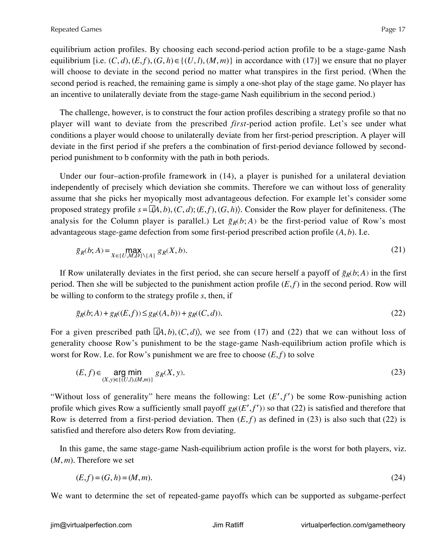equilibrium action profiles. By choosing each second-period action profile to be a stage-game Nash equilibrium [i.e.  $(C, d)$ ,  $(E, f)$ ,  $(G, h) \in \{ (U, l), (M, m) \}$  in accordance with (17)] we ensure that no player will choose to deviate in the second period no matter what transpires in the first period. (When the second period is reached, the remaining game is simply a one-shot play of the stage game. No player has an incentive to unilaterally deviate from the stage-game Nash equilibrium in the second period.)

The challenge, however, is to construct the four action profiles describing a strategy profile so that no player will want to deviate from the prescribed *first*-period action profile. Let's see under what conditions a player would choose to unilaterally deviate from her first-period prescription. A player will deviate in the first period if she prefers a the combination of first-period deviance followed by secondperiod punishment to b conformity with the path in both periods.

Under our four–action-profile framework in (14), a player is punished for a unilateral deviation independently of precisely which deviation she commits. Therefore we can without loss of generality assume that she picks her myopically most advantageous defection. For example let's consider some proposed strategy profile  $s = \langle (A, b), (C, d); (E, f), (G, h) \rangle$ . Consider the Row player for definiteness. (The analysis for the Column player is parallel.) Let  $\bar{g}_R(b;A)$  be the first-period value of Row's most advantageous stage-game defection from some first-period prescribed action profile  $(A, b)$ . I.e.

$$
\overline{g}_R(b;A) = \max_{X \in \{U, M, D\} \setminus \{A\}} g_R(X,b). \tag{21}
$$

If Row unilaterally deviates in the first period, she can secure herself a payoff of  $\bar{g}_R(b;A)$  in the first period. Then she will be subjected to the punishment action profile  $(E, f)$  in the second period. Row will be willing to conform to the strategy profile s, then, if

$$
\overline{g}_R(b;A) + g_R((E,f)) \le g_R((A,b)) + g_R((C,d)).
$$
\n(22)

For a given prescribed path  $\langle (A,b), (C,d) \rangle$ , we see from (17) and (22) that we can without loss of generality choose Row's punishment to be the stage-game Nash-equilibrium action profile which is worst for Row. I.e. for Row's punishment we are free to choose  $(E, f)$  to solve

$$
(E, f) \in \underset{(X, y) \in \{(U, I), (M, m)\}}{\text{arg min}} g_R(X, y). \tag{23}
$$

"Without loss of generality" here means the following: Let  $(E', f')$  be some Row-punishing action profile which gives Row a sufficiently small payoff  $g_R((E', f'))$  so that (22) is satisfied and therefore that Row is deterred from a first-period deviation. Then  $(E, f)$  as defined in (23) is also such that (22) is satisfied and therefore also deters Row from deviating.

In this game, the same stage-game Nash-equilibrium action profile is the worst for both players, viz.  $(M, m)$ . Therefore we set

$$
(E, f) = (G, h) = (M, m). \tag{24}
$$

We want to determine the set of repeated-game payoffs which can be supported as subgame-perfect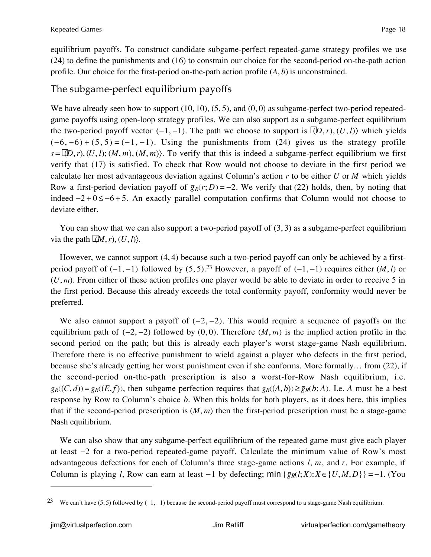equilibrium payoffs. To construct candidate subgame-perfect repeated-game strategy profiles we use (24) to define the punishments and (16) to constrain our choice for the second-period on-the-path action profile. Our choice for the first-period on-the-path action profile  $(A, b)$  is unconstrained.

### The subgame-perfect equilibrium payoffs

We have already seen how to support  $(10, 10)$ ,  $(5, 5)$ , and  $(0, 0)$  as subgame-perfect two-period repeatedgame payoffs using open-loop strategy profiles. We can also support as a subgame-perfect equilibrium the two-period payoff vector  $(-1, -1)$ . The path we choose to support is  $\langle (D, r), (U, l) \rangle$  which yields  $(-6, -6) + (5, 5) = (-1, -1)$ . Using the punishments from (24) gives us the strategy profile  $s = \langle (D, r), (U, l); (M, m), (M, m) \rangle$ . To verify that this is indeed a subgame-perfect equilibrium we first verify that (17) is satisfied. To check that Row would not choose to deviate in the first period we calculate her most advantageous deviation against Column's action  $r$  to be either  $U$  or  $M$  which yields Row a first-period deviation payoff of  $\bar{g}_R(r;D) = -2$ . We verify that (22) holds, then, by noting that indeed  $-2+0 \le -6+5$ . An exactly parallel computation confirms that Column would not choose to deviate either.

You can show that we can also support a two-period payoff of  $(3,3)$  as a subgame-perfect equilibrium via the path  $\langle (M,r),(U,l) \rangle$ .

However, we cannot support (4,4) because such a two-period payoff can only be achieved by a firstperiod payoff of  $(-1, -1)$  followed by  $(5, 5)$ . <sup>23</sup> However, a payoff of  $(-1, -1)$  requires either  $(M, l)$  or  $(U, m)$ . From either of these action profiles one player would be able to deviate in order to receive 5 in the first period. Because this already exceeds the total conformity payoff, conformity would never be preferred.

We also cannot support a payoff of  $(-2, -2)$ . This would require a sequence of payoffs on the equilibrium path of  $(-2, -2)$  followed by  $(0, 0)$ . Therefore  $(M, m)$  is the implied action profile in the second period on the path; but this is already each player's worst stage-game Nash equilibrium. Therefore there is no effective punishment to wield against a player who defects in the first period, because she's already getting her worst punishment even if she conforms. More formally… from (22), if the second-period on-the-path prescription is also a worst-for-Row Nash equilibrium, i.e.  $g_R((C,d))=g_R((E,f))$ , then subgame perfection requires that  $g_R((A,b))\geq \overline{g}_R(b;A)$ . I.e. A must be a best response by Row to Column's choice b. When this holds for both players, as it does here, this implies that if the second-period prescription is  $(M, m)$  then the first-period prescription must be a stage-game Nash equilibrium.

We can also show that any subgame-perfect equilibrium of the repeated game must give each player at least  $-2$  for a two-period repeated-game payoff. Calculate the minimum value of Row's most advantageous defections for each of Column's three stage-game actions  $l, m$ , and  $r$ . For example, if Column is playing l, Row can earn at least  $-1$  by defecting; min { $\overline{g}_{\overline{R}}(l;X):X \in \{U,M,D\}\}=-1.$  (You

<sup>&</sup>lt;sup>23</sup> We can't have (5, 5) followed by (-1, -1) because the second-period payoff must correspond to a stage-game Nash equilibrium.